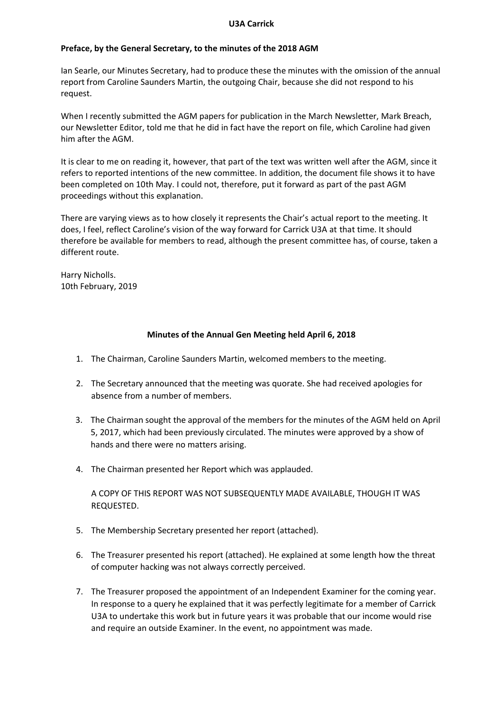### **U3A Carrick**

## **Preface, by the General Secretary, to the minutes of the 2018 AGM**

Ian Searle, our Minutes Secretary, had to produce these the minutes with the omission of the annual report from Caroline Saunders Martin, the outgoing Chair, because she did not respond to his request.

When I recently submitted the AGM papers for publication in the March Newsletter, Mark Breach, our Newsletter Editor, told me that he did in fact have the report on file, which Caroline had given him after the AGM.

It is clear to me on reading it, however, that part of the text was written well after the AGM, since it refers to reported intentions of the new committee. In addition, the document file shows it to have been completed on 10th May. I could not, therefore, put it forward as part of the past AGM proceedings without this explanation.

There are varying views as to how closely it represents the Chair's actual report to the meeting. It does, I feel, reflect Caroline's vision of the way forward for Carrick U3A at that time. It should therefore be available for members to read, although the present committee has, of course, taken a different route.

Harry Nicholls. 10th February, 2019

# **Minutes of the Annual Gen Meeting held April 6, 2018**

- 1. The Chairman, Caroline Saunders Martin, welcomed members to the meeting.
- 2. The Secretary announced that the meeting was quorate. She had received apologies for absence from a number of members.
- 3. The Chairman sought the approval of the members for the minutes of the AGM held on April 5, 2017, which had been previously circulated. The minutes were approved by a show of hands and there were no matters arising.
- 4. The Chairman presented her Report which was applauded.

A COPY OF THIS REPORT WAS NOT SUBSEQUENTLY MADE AVAILABLE, THOUGH IT WAS REQUESTED.

- 5. The Membership Secretary presented her report (attached).
- 6. The Treasurer presented his report (attached). He explained at some length how the threat of computer hacking was not always correctly perceived.
- 7. The Treasurer proposed the appointment of an Independent Examiner for the coming year. In response to a query he explained that it was perfectly legitimate for a member of Carrick U3A to undertake this work but in future years it was probable that our income would rise and require an outside Examiner. In the event, no appointment was made.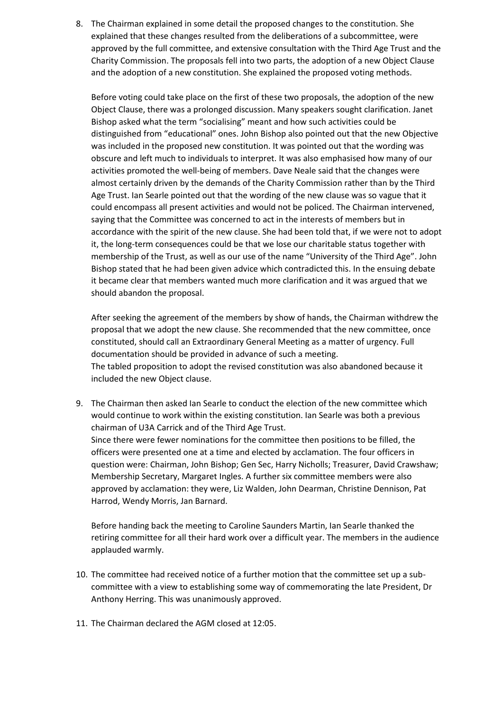8. The Chairman explained in some detail the proposed changes to the constitution. She explained that these changes resulted from the deliberations of a subcommittee, were approved by the full committee, and extensive consultation with the Third Age Trust and the Charity Commission. The proposals fell into two parts, the adoption of a new Object Clause and the adoption of a new constitution. She explained the proposed voting methods.

Before voting could take place on the first of these two proposals, the adoption of the new Object Clause, there was a prolonged discussion. Many speakers sought clarification. Janet Bishop asked what the term "socialising" meant and how such activities could be distinguished from "educational" ones. John Bishop also pointed out that the new Objective was included in the proposed new constitution. It was pointed out that the wording was obscure and left much to individuals to interpret. It was also emphasised how many of our activities promoted the well-being of members. Dave Neale said that the changes were almost certainly driven by the demands of the Charity Commission rather than by the Third Age Trust. Ian Searle pointed out that the wording of the new clause was so vague that it could encompass all present activities and would not be policed. The Chairman intervened, saying that the Committee was concerned to act in the interests of members but in accordance with the spirit of the new clause. She had been told that, if we were not to adopt it, the long-term consequences could be that we lose our charitable status together with membership of the Trust, as well as our use of the name "University of the Third Age". John Bishop stated that he had been given advice which contradicted this. In the ensuing debate it became clear that members wanted much more clarification and it was argued that we should abandon the proposal.

After seeking the agreement of the members by show of hands, the Chairman withdrew the proposal that we adopt the new clause. She recommended that the new committee, once constituted, should call an Extraordinary General Meeting as a matter of urgency. Full documentation should be provided in advance of such a meeting. The tabled proposition to adopt the revised constitution was also abandoned because it included the new Object clause.

9. The Chairman then asked Ian Searle to conduct the election of the new committee which would continue to work within the existing constitution. Ian Searle was both a previous chairman of U3A Carrick and of the Third Age Trust. Since there were fewer nominations for the committee then positions to be filled, the officers were presented one at a time and elected by acclamation. The four officers in question were: Chairman, John Bishop; Gen Sec, Harry Nicholls; Treasurer, David Crawshaw; Membership Secretary, Margaret Ingles. A further six committee members were also approved by acclamation: they were, Liz Walden, John Dearman, Christine Dennison, Pat Harrod, Wendy Morris, Jan Barnard.

Before handing back the meeting to Caroline Saunders Martin, Ian Searle thanked the retiring committee for all their hard work over a difficult year. The members in the audience applauded warmly.

- 10. The committee had received notice of a further motion that the committee set up a subcommittee with a view to establishing some way of commemorating the late President, Dr Anthony Herring. This was unanimously approved.
- 11. The Chairman declared the AGM closed at 12:05.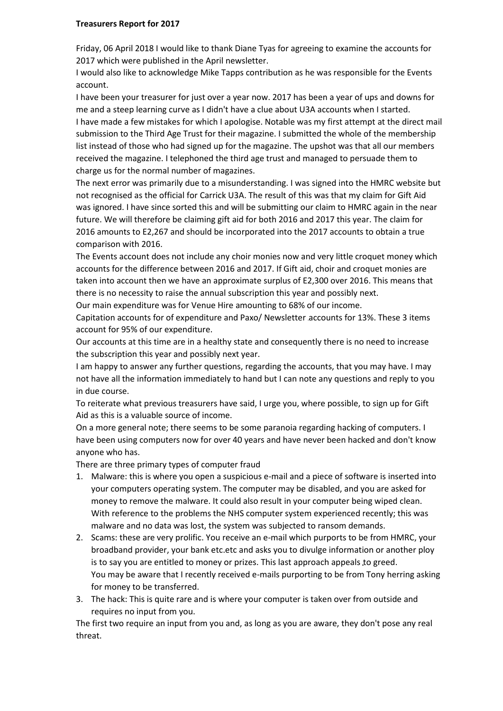### **Treasurers Report for 2017**

Friday, 06 April 2018 I would like to thank Diane Tyas for agreeing to examine the accounts for 2017 which were published in the April newsletter.

I would also like to acknowledge Mike Tapps contribution as he was responsible for the Events account.

I have been your treasurer for just over a year now. 2017 has been a year of ups and downs for me and a steep learning curve as I didn't have a clue about U3A accounts when I started. I have made a few mistakes for which I apologise. Notable was my first attempt at the direct mail submission to the Third Age Trust for their magazine. I submitted the whole of the membership list instead of those who had signed up for the magazine. The upshot was that all our members received the magazine. I telephoned the third age trust and managed to persuade them to charge us for the normal number of magazines.

The next error was primarily due to a misunderstanding. I was signed into the HMRC website but not recognised as the official for Carrick U3A. The result of this was that my claim for Gift Aid was ignored. I have since sorted this and will be submitting our claim to HMRC again in the near future. We will therefore be claiming gift aid for both 2016 and 2017 this year. The claim for 2016 amounts to E2,267 and should be incorporated into the 2017 accounts to obtain a true comparison with 2016.

The Events account does not include any choir monies now and very little croquet money which accounts for the difference between 2016 and 2017. If Gift aid, choir and croquet monies are taken into account then we have an approximate surplus of E2,300 over 2016. This means that there is no necessity to raise the annual subscription this year and possibly next.

Our main expenditure was for Venue Hire amounting to 68% of our income.

Capitation accounts for of expenditure and Paxo/ Newsletter accounts for 13%. These 3 items account for 95% of our expenditure.

Our accounts at this time are in a healthy state and consequently there is no need to increase the subscription this year and possibly next year.

I am happy to answer any further questions, regarding the accounts, that you may have. I may not have all the information immediately to hand but I can note any questions and reply to you in due course.

To reiterate what previous treasurers have said, I urge you, where possible, to sign up for Gift Aid as this is a valuable source of income.

On a more general note; there seems to be some paranoia regarding hacking of computers. I have been using computers now for over 40 years and have never been hacked and don't know anyone who has.

There are three primary types of computer fraud

- 1. Malware: this is where you open a suspicious e-mail and a piece of software is inserted into your computers operating system. The computer may be disabled, and you are asked for money to remove the malware. It could also result in your computer being wiped clean. With reference to the problems the NHS computer system experienced recently; this was malware and no data was lost, the system was subjected to ransom demands.
- 2. Scams: these are very prolific. You receive an e-mail which purports to be from HMRC, your broadband provider, your bank etc.etc and asks you to divulge information or another ploy is to say you are entitled to money or prizes. This last approach appeals to greed. You may be aware that I recently received e-mails purporting to be from Tony herring asking for money to be transferred.
- 3. The hack: This is quite rare and is where your computer is taken over from outside and requires no input from you.

The first two require an input from you and, as long as you are aware, they don't pose any real threat.